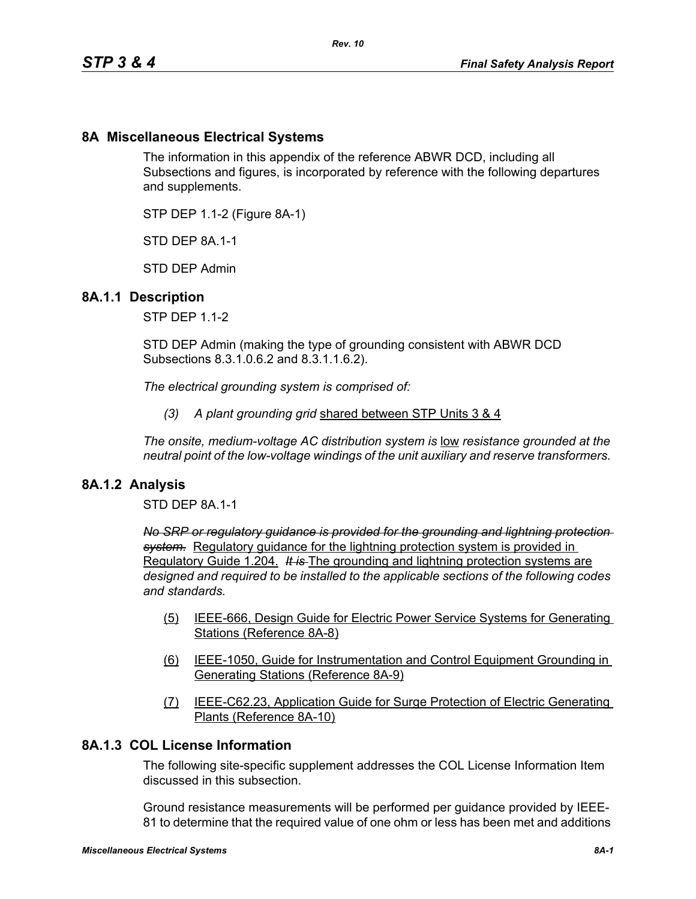# **8A Miscellaneous Electrical Systems**

The information in this appendix of the reference ABWR DCD, including all Subsections and figures, is incorporated by reference with the following departures and supplements.

STP DEP 1.1-2 (Figure 8A-1)

STD DFP 8A 1-1

STD DEP Admin

#### **8A.1.1 Description**

STP DEP 1.1-2

STD DEP Admin (making the type of grounding consistent with ABWR DCD Subsections 8.3.1.0.6.2 and 8.3.1.1.6.2).

*The electrical grounding system is comprised of:*

*(3) A plant grounding grid* shared between STP Units 3 & 4

*The onsite, medium-voltage AC distribution system is* low *resistance grounded at the neutral point of the low-voltage windings of the unit auxiliary and reserve transformers.* 

#### **8A.1.2 Analysis**

STD DEP 8A.1-1

*No SRP or regulatory guidance is provided for the grounding and lightning protection system.* Regulatory guidance for the lightning protection system is provided in Regulatory Guide 1.204. *It is* The grounding and lightning protection systems are *designed and required to be installed to the applicable sections of the following codes and standards.*

- (5) IEEE-666, Design Guide for Electric Power Service Systems for Generating Stations (Reference 8A-8)
- (6) IEEE-1050, Guide for Instrumentation and Control Equipment Grounding in Generating Stations (Reference 8A-9)
- (7) IEEE-C62.23, Application Guide for Surge Protection of Electric Generating Plants (Reference 8A-10)

## **8A.1.3 COL License Information**

The following site-specific supplement addresses the COL License Information Item discussed in this subsection.

Ground resistance measurements will be performed per guidance provided by IEEE-81 to determine that the required value of one ohm or less has been met and additions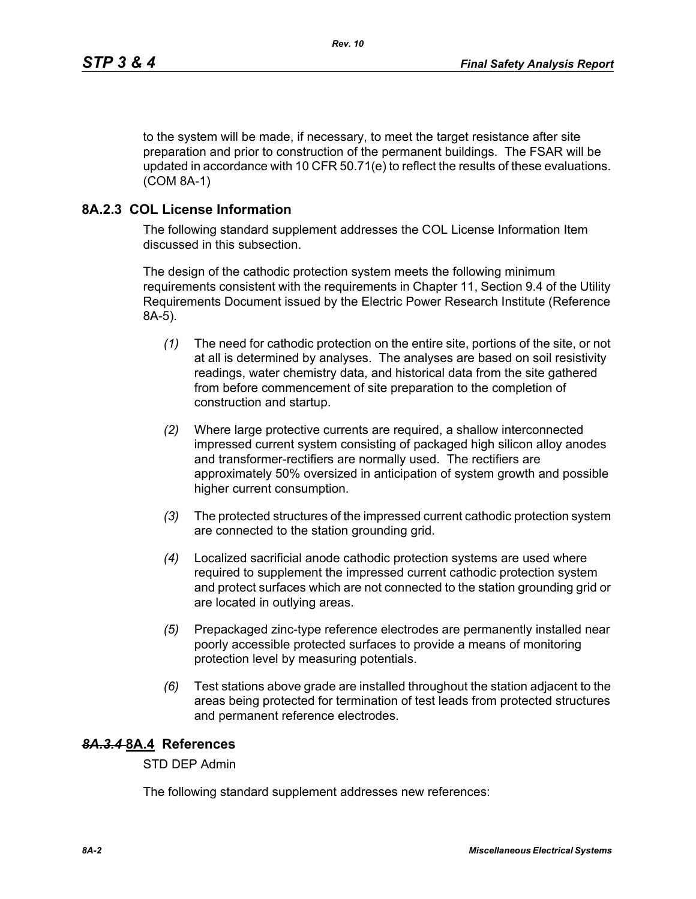to the system will be made, if necessary, to meet the target resistance after site preparation and prior to construction of the permanent buildings. The FSAR will be updated in accordance with 10 CFR 50.71(e) to reflect the results of these evaluations. (COM 8A-1)

## **8A.2.3 COL License Information**

The following standard supplement addresses the COL License Information Item discussed in this subsection.

The design of the cathodic protection system meets the following minimum requirements consistent with the requirements in Chapter 11, Section 9.4 of the Utility Requirements Document issued by the Electric Power Research Institute (Reference 8A-5).

- *(1)* The need for cathodic protection on the entire site, portions of the site, or not at all is determined by analyses. The analyses are based on soil resistivity readings, water chemistry data, and historical data from the site gathered from before commencement of site preparation to the completion of construction and startup.
- *(2)* Where large protective currents are required, a shallow interconnected impressed current system consisting of packaged high silicon alloy anodes and transformer-rectifiers are normally used. The rectifiers are approximately 50% oversized in anticipation of system growth and possible higher current consumption.
- *(3)* The protected structures of the impressed current cathodic protection system are connected to the station grounding grid.
- *(4)* Localized sacrificial anode cathodic protection systems are used where required to supplement the impressed current cathodic protection system and protect surfaces which are not connected to the station grounding grid or are located in outlying areas.
- *(5)* Prepackaged zinc-type reference electrodes are permanently installed near poorly accessible protected surfaces to provide a means of monitoring protection level by measuring potentials.
- *(6)* Test stations above grade are installed throughout the station adjacent to the areas being protected for termination of test leads from protected structures and permanent reference electrodes.

## *8A.3.4* **8A.4 References**

STD DEP Admin

The following standard supplement addresses new references: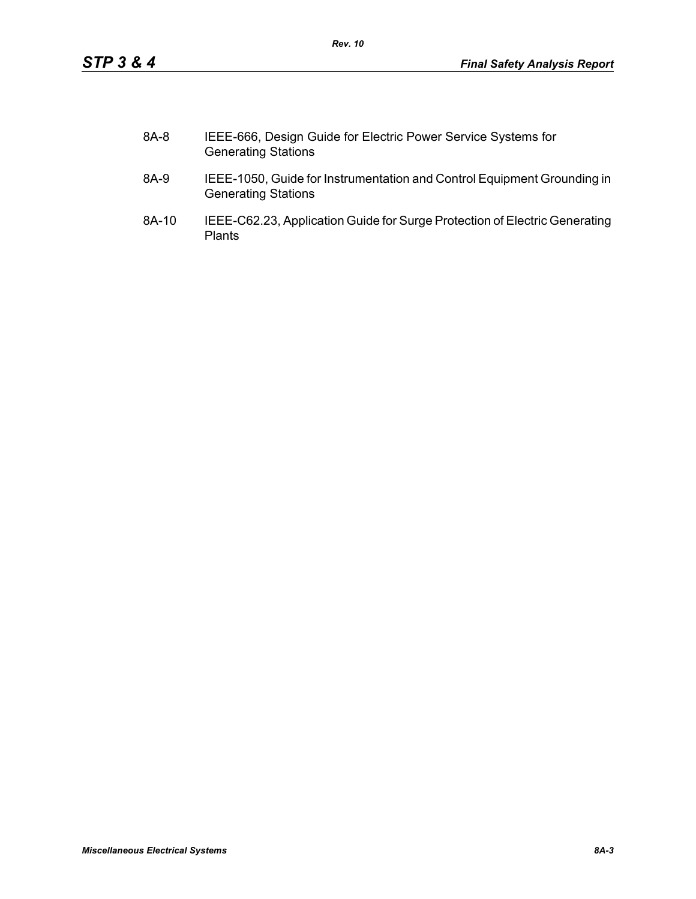| 8A-8 | IEEE-666, Design Guide for Electric Power Service Systems for |
|------|---------------------------------------------------------------|
|      | <b>Generating Stations</b>                                    |

- 8A-9 IEEE-1050, Guide for Instrumentation and Control Equipment Grounding in Generating Stations
- 8A-10 IEEE-C62.23, Application Guide for Surge Protection of Electric Generating Plants